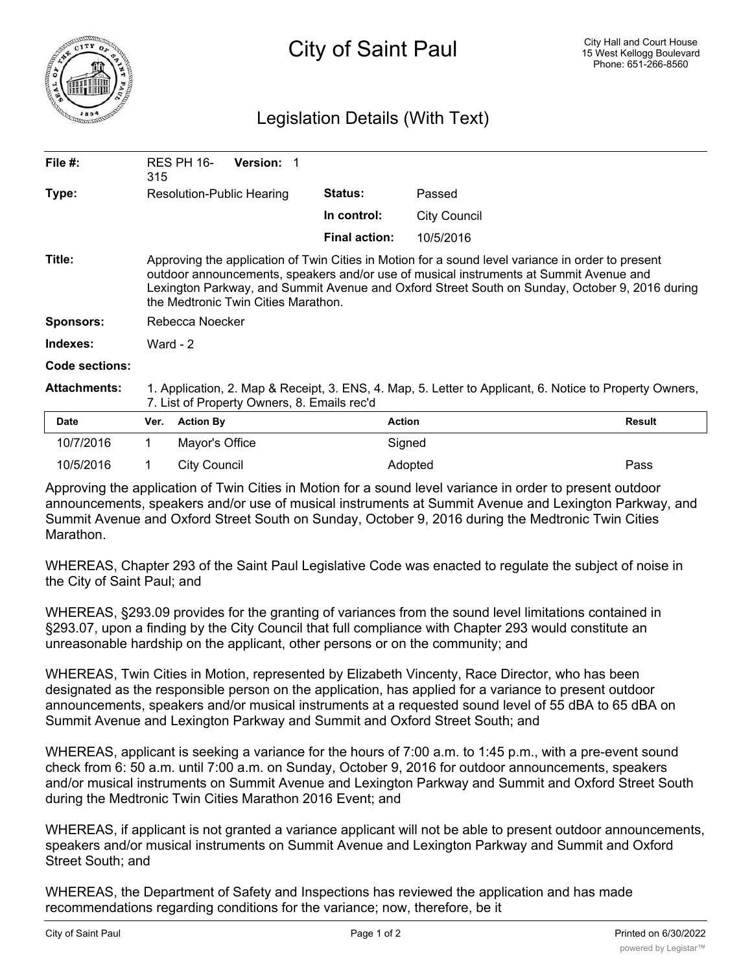

## Legislation Details (With Text)

| File $#$ :          | 315                                                                                                                                                                                                                                                                                                                                  | RES PH 16-       | <b>Version:</b> |                      |                     |               |
|---------------------|--------------------------------------------------------------------------------------------------------------------------------------------------------------------------------------------------------------------------------------------------------------------------------------------------------------------------------------|------------------|-----------------|----------------------|---------------------|---------------|
| Type:               | Resolution-Public Hearing                                                                                                                                                                                                                                                                                                            |                  |                 | <b>Status:</b>       | Passed              |               |
|                     |                                                                                                                                                                                                                                                                                                                                      |                  |                 | In control:          | <b>City Council</b> |               |
|                     |                                                                                                                                                                                                                                                                                                                                      |                  |                 | <b>Final action:</b> | 10/5/2016           |               |
| Title:              | Approving the application of Twin Cities in Motion for a sound level variance in order to present<br>outdoor announcements, speakers and/or use of musical instruments at Summit Avenue and<br>Lexington Parkway, and Summit Avenue and Oxford Street South on Sunday, October 9, 2016 during<br>the Medtronic Twin Cities Marathon. |                  |                 |                      |                     |               |
| Sponsors:           | Rebecca Noecker                                                                                                                                                                                                                                                                                                                      |                  |                 |                      |                     |               |
| Indexes:            | Ward - $2$                                                                                                                                                                                                                                                                                                                           |                  |                 |                      |                     |               |
| Code sections:      |                                                                                                                                                                                                                                                                                                                                      |                  |                 |                      |                     |               |
| <b>Attachments:</b> | 1. Application, 2. Map & Receipt, 3. ENS, 4. Map, 5. Letter to Applicant, 6. Notice to Property Owners,<br>7. List of Property Owners, 8. Emails rec'd                                                                                                                                                                               |                  |                 |                      |                     |               |
| <b>Date</b>         | Ver.                                                                                                                                                                                                                                                                                                                                 | <b>Action By</b> |                 |                      | <b>Action</b>       | <b>Result</b> |
| 10/7/2016           |                                                                                                                                                                                                                                                                                                                                      | Mayor's Office   |                 |                      | Signed              |               |

Approving the application of Twin Cities in Motion for a sound level variance in order to present outdoor announcements, speakers and/or use of musical instruments at Summit Avenue and Lexington Parkway, and Summit Avenue and Oxford Street South on Sunday, October 9, 2016 during the Medtronic Twin Cities Marathon.

10/5/2016 1 City Council Adopted Pass

WHEREAS, Chapter 293 of the Saint Paul Legislative Code was enacted to regulate the subject of noise in the City of Saint Paul; and

WHEREAS, §293.09 provides for the granting of variances from the sound level limitations contained in §293.07, upon a finding by the City Council that full compliance with Chapter 293 would constitute an unreasonable hardship on the applicant, other persons or on the community; and

WHEREAS, Twin Cities in Motion, represented by Elizabeth Vincenty, Race Director, who has been designated as the responsible person on the application, has applied for a variance to present outdoor announcements, speakers and/or musical instruments at a requested sound level of 55 dBA to 65 dBA on Summit Avenue and Lexington Parkway and Summit and Oxford Street South; and

WHEREAS, applicant is seeking a variance for the hours of 7:00 a.m. to 1:45 p.m., with a pre-event sound check from 6: 50 a.m. until 7:00 a.m. on Sunday, October 9, 2016 for outdoor announcements, speakers and/or musical instruments on Summit Avenue and Lexington Parkway and Summit and Oxford Street South during the Medtronic Twin Cities Marathon 2016 Event; and

WHEREAS, if applicant is not granted a variance applicant will not be able to present outdoor announcements, speakers and/or musical instruments on Summit Avenue and Lexington Parkway and Summit and Oxford Street South; and

WHEREAS, the Department of Safety and Inspections has reviewed the application and has made recommendations regarding conditions for the variance; now, therefore, be it